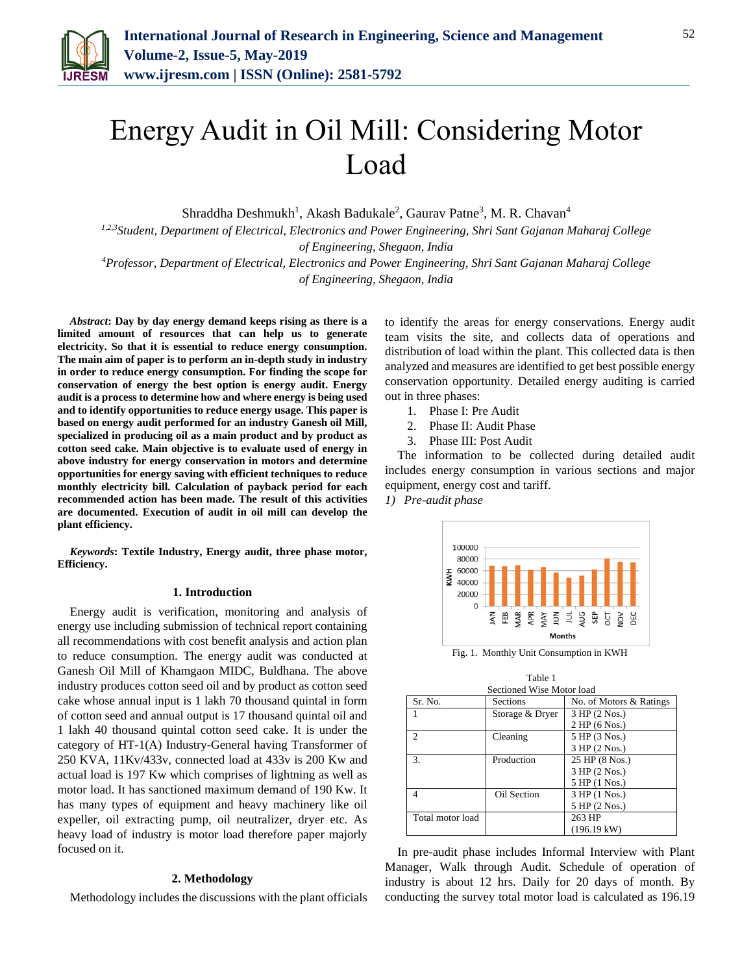

# Energy Audit in Oil Mill: Considering Motor Load

Shraddha Deshmukh<sup>1</sup>, Akash Badukale<sup>2</sup>, Gaurav Patne<sup>3</sup>, M. R. Chavan<sup>4</sup>

*1,2,3Student, Department of Electrical, Electronics and Power Engineering, Shri Sant Gajanan Maharaj College of Engineering, Shegaon, India*

*<sup>4</sup>Professor, Department of Electrical, Electronics and Power Engineering, Shri Sant Gajanan Maharaj College of Engineering, Shegaon, India*

*Abstract***: Day by day energy demand keeps rising as there is a limited amount of resources that can help us to generate electricity. So that it is essential to reduce energy consumption. The main aim of paper is to perform an in-depth study in industry in order to reduce energy consumption. For finding the scope for conservation of energy the best option is energy audit. Energy audit is a process to determine how and where energy is being used and to identify opportunities to reduce energy usage. This paper is based on energy audit performed for an industry Ganesh oil Mill, specialized in producing oil as a main product and by product as cotton seed cake. Main objective is to evaluate used of energy in above industry for energy conservation in motors and determine opportunities for energy saving with efficient techniques to reduce monthly electricity bill. Calculation of payback period for each recommended action has been made. The result of this activities are documented. Execution of audit in oil mill can develop the plant efficiency.**

*Keywords***: Textile Industry, Energy audit, three phase motor, Efficiency.**

#### **1. Introduction**

Energy audit is verification, monitoring and analysis of energy use including submission of technical report containing all recommendations with cost benefit analysis and action plan to reduce consumption. The energy audit was conducted at Ganesh Oil Mill of Khamgaon MIDC, Buldhana. The above industry produces cotton seed oil and by product as cotton seed cake whose annual input is 1 lakh 70 thousand quintal in form of cotton seed and annual output is 17 thousand quintal oil and 1 lakh 40 thousand quintal cotton seed cake. It is under the category of HT-1(A) Industry-General having Transformer of 250 KVA, 11Kv/433v, connected load at 433v is 200 Kw and actual load is 197 Kw which comprises of lightning as well as motor load. It has sanctioned maximum demand of 190 Kw. It has many types of equipment and heavy machinery like oil expeller, oil extracting pump, oil neutralizer, dryer etc. As heavy load of industry is motor load therefore paper majorly focused on it.

#### **2. Methodology**

Methodology includes the discussions with the plant officials

to identify the areas for energy conservations. Energy audit team visits the site, and collects data of operations and distribution of load within the plant. This collected data is then analyzed and measures are identified to get best possible energy conservation opportunity. Detailed energy auditing is carried out in three phases:

- 1. Phase I: Pre Audit
- 2. Phase II: Audit Phase
- 3. Phase III: Post Audit

The information to be collected during detailed audit includes energy consumption in various sections and major equipment, energy cost and tariff. *1) Pre-audit phase*



Fig. 1. Monthly Unit Consumption in KWH

| Table 1                   |                 |                         |  |  |  |  |
|---------------------------|-----------------|-------------------------|--|--|--|--|
| Sectioned Wise Motor load |                 |                         |  |  |  |  |
| Sr. No.                   | Sections        | No. of Motors & Ratings |  |  |  |  |
|                           | Storage & Dryer | 3 HP (2 Nos.)           |  |  |  |  |
|                           |                 | 2 HP(6 Nos.)            |  |  |  |  |
| $\mathfrak{D}$            | Cleaning        | 5 HP (3 Nos.)           |  |  |  |  |
|                           |                 | 3 HP (2 Nos.)           |  |  |  |  |
| 3.                        | Production      | 25 HP (8 Nos.)          |  |  |  |  |
|                           |                 | 3 HP (2 Nos.)           |  |  |  |  |
|                           |                 | 5 HP (1 Nos.)           |  |  |  |  |
| 4                         | Oil Section     | 3 HP (1 Nos.)           |  |  |  |  |
|                           |                 | 5 HP (2 Nos.)           |  |  |  |  |
| Total motor load          |                 | 263 HP                  |  |  |  |  |
|                           |                 | $(196.19 \text{ kW})$   |  |  |  |  |

In pre-audit phase includes Informal Interview with Plant Manager, Walk through Audit. Schedule of operation of industry is about 12 hrs. Daily for 20 days of month. By conducting the survey total motor load is calculated as 196.19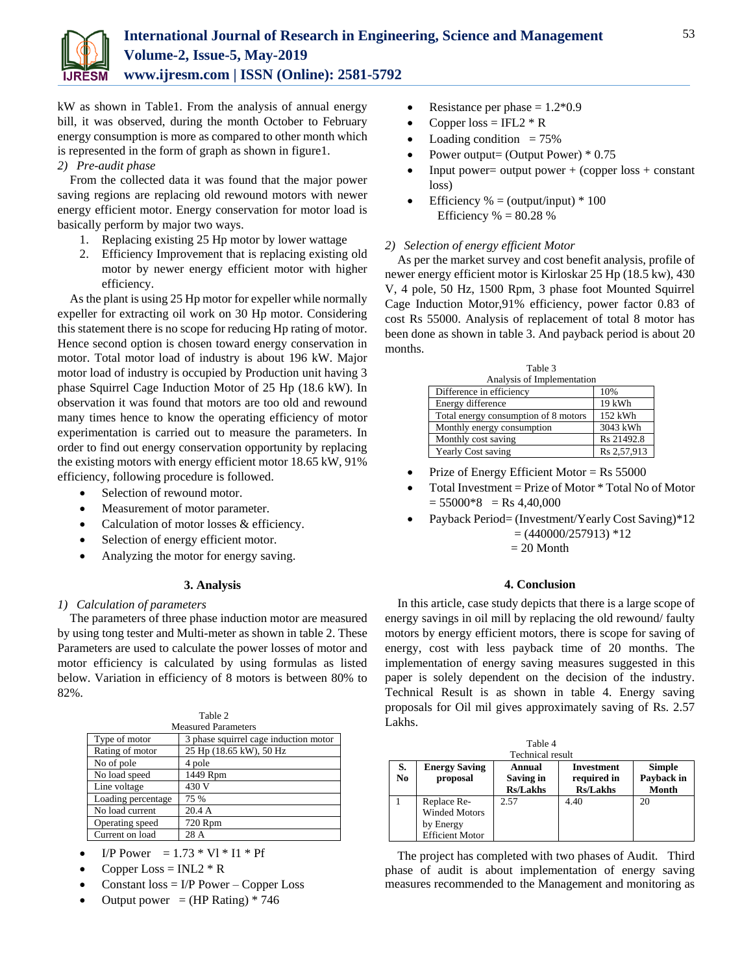

kW as shown in Table1. From the analysis of annual energy bill, it was observed, during the month October to February energy consumption is more as compared to other month which is represented in the form of graph as shown in figure1.

## *2) Pre-audit phase*

From the collected data it was found that the major power saving regions are replacing old rewound motors with newer energy efficient motor. Energy conservation for motor load is basically perform by major two ways.

- 1. Replacing existing 25 Hp motor by lower wattage
- 2. Efficiency Improvement that is replacing existing old motor by newer energy efficient motor with higher efficiency.

As the plant is using 25 Hp motor for expeller while normally expeller for extracting oil work on 30 Hp motor. Considering this statement there is no scope for reducing Hp rating of motor. Hence second option is chosen toward energy conservation in motor. Total motor load of industry is about 196 kW. Major motor load of industry is occupied by Production unit having 3 phase Squirrel Cage Induction Motor of 25 Hp (18.6 kW). In observation it was found that motors are too old and rewound many times hence to know the operating efficiency of motor experimentation is carried out to measure the parameters. In order to find out energy conservation opportunity by replacing the existing motors with energy efficient motor 18.65 kW, 91% efficiency, following procedure is followed.

- Selection of rewound motor.
- Measurement of motor parameter.
- Calculation of motor losses & efficiency.
- Selection of energy efficient motor.
- Analyzing the motor for energy saving.

## **3. Analysis**

## *1) Calculation of parameters*

The parameters of three phase induction motor are measured by using tong tester and Multi-meter as shown in table 2. These Parameters are used to calculate the power losses of motor and motor efficiency is calculated by using formulas as listed below. Variation in efficiency of 8 motors is between 80% to 82%.

| Table 2                    |                                       |  |  |  |
|----------------------------|---------------------------------------|--|--|--|
| <b>Measured Parameters</b> |                                       |  |  |  |
| Type of motor              | 3 phase squirrel cage induction motor |  |  |  |
| Rating of motor            | 25 Hp (18.65 kW), 50 Hz               |  |  |  |
| No of pole                 | 4 pole                                |  |  |  |
| No load speed              | 1449 Rpm                              |  |  |  |
| Line voltage               | 430 V                                 |  |  |  |
| Loading percentage         | 75 %                                  |  |  |  |
| No load current            | 20.4A                                 |  |  |  |
| Operating speed            | 720 Rpm                               |  |  |  |
| Current on load            | 28 A                                  |  |  |  |

- I/P Power =  $1.73 * VI * II * Pf$
- 
- Copper Loss =  $INL2 * R$
- Constant loss = I/P Power Copper Loss
- Output power =  $(HP$  Rating) \* 746
- Resistance per phase  $= 1.2*0.9$
- Copper  $loss = IFL2 * R$
- Loading condition  $= 75\%$
- Power output= (Output Power) \* 0.75
- Input power= output power  $+$  (copper loss  $+$  constant loss)
- Efficiency  $% = (output/input) * 100$ Efficiency  $% = 80.28$  %

## *2) Selection of energy efficient Motor*

As per the market survey and cost benefit analysis, profile of newer energy efficient motor is Kirloskar 25 Hp (18.5 kw), 430 V, 4 pole, 50 Hz, 1500 Rpm, 3 phase foot Mounted Squirrel Cage Induction Motor,91% efficiency, power factor 0.83 of cost Rs 55000. Analysis of replacement of total 8 motor has been done as shown in table 3. And payback period is about 20 months.

| rable 3                              |             |  |  |  |
|--------------------------------------|-------------|--|--|--|
| Analysis of Implementation           |             |  |  |  |
| Difference in efficiency             | 10%         |  |  |  |
| Energy difference                    | 19 kWh      |  |  |  |
| Total energy consumption of 8 motors | 152 kWh     |  |  |  |
| Monthly energy consumption           | 3043 kWh    |  |  |  |
| Monthly cost saving                  | Rs 21492.8  |  |  |  |
| <b>Yearly Cost saving</b>            | Rs 2,57,913 |  |  |  |

 $T \cdot T$ 

- Prize of Energy Efficient Motor = Rs 55000
- Total Investment = Prize of Motor \* Total No of Motor  $= 55000*8$  = Rs 4,40,000
- Payback Period= (Investment/Yearly Cost Saving)\*12  $=(440000/257913)*12$

 $= 20$  Month

## **4. Conclusion**

In this article, case study depicts that there is a large scope of energy savings in oil mill by replacing the old rewound/ faulty motors by energy efficient motors, there is scope for saving of energy, cost with less payback time of 20 months. The implementation of energy saving measures suggested in this paper is solely dependent on the decision of the industry. Technical Result is as shown in table 4. Energy saving proposals for Oil mil gives approximately saving of Rs. 2.57 Lakhs.

| Table 4                 |                                                                     |                                        |                                              |                                      |  |  |  |
|-------------------------|---------------------------------------------------------------------|----------------------------------------|----------------------------------------------|--------------------------------------|--|--|--|
| <b>Technical result</b> |                                                                     |                                        |                                              |                                      |  |  |  |
| S.<br>No.               | <b>Energy Saving</b><br>proposal                                    | Annual<br>Saving in<br><b>Rs/Lakhs</b> | Investment<br>required in<br><b>Rs/Lakhs</b> | <b>Simple</b><br>Payback in<br>Month |  |  |  |
|                         | Replace Re-<br>Winded Motors<br>by Energy<br><b>Efficient Motor</b> | 2.57                                   | 4.40                                         | 20                                   |  |  |  |

The project has completed with two phases of Audit. Third phase of audit is about implementation of energy saving measures recommended to the Management and monitoring as